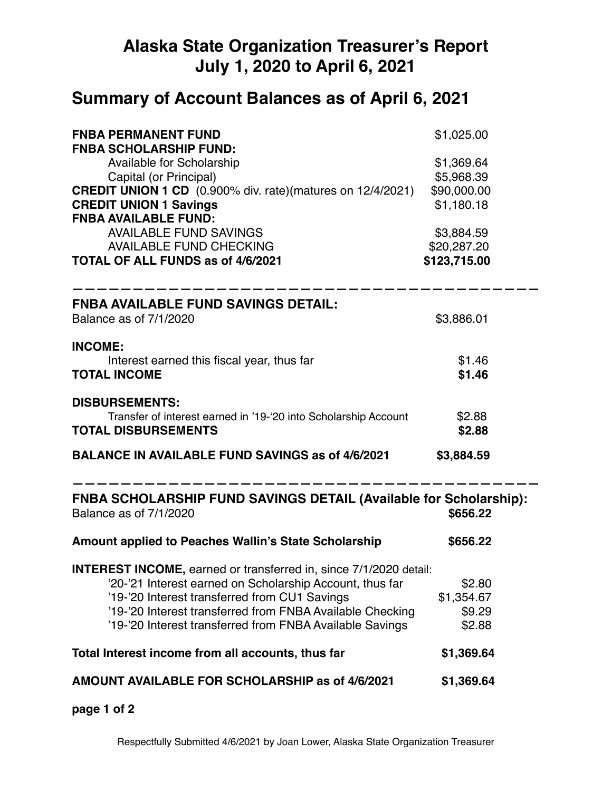## **Alaska State Organization Treasurer's Report July 1, 2020 to April 6, 2021**

## **Summary of Account Balances as of April 6, 2021**

| <b>FNBA PERMANENT FUND</b><br><b>FNBA SCHOLARSHIP FUND:</b>                                        | \$1,025.00   |  |
|----------------------------------------------------------------------------------------------------|--------------|--|
| Available for Scholarship                                                                          | \$1,369.64   |  |
| Capital (or Principal)                                                                             | \$5,968.39   |  |
| <b>CREDIT UNION 1 CD</b> (0.900% div. rate)(matures on 12/4/2021)                                  | \$90,000.00  |  |
| <b>CREDIT UNION 1 Savings</b>                                                                      | \$1,180.18   |  |
| <b>FNBA AVAILABLE FUND:</b>                                                                        |              |  |
| <b>AVAILABLE FUND SAVINGS</b>                                                                      | \$3,884.59   |  |
| <b>AVAILABLE FUND CHECKING</b>                                                                     | \$20,287.20  |  |
| TOTAL OF ALL FUNDS as of 4/6/2021                                                                  | \$123,715.00 |  |
| <b>FNBA AVAILABLE FUND SAVINGS DETAIL:</b>                                                         |              |  |
| Balance as of 7/1/2020                                                                             | \$3,886.01   |  |
| <b>INCOME:</b>                                                                                     |              |  |
| Interest earned this fiscal year, thus far                                                         | \$1.46       |  |
| <b>TOTAL INCOME</b>                                                                                | \$1.46       |  |
| <b>DISBURSEMENTS:</b>                                                                              |              |  |
| Transfer of interest earned in '19-'20 into Scholarship Account                                    | \$2.88       |  |
| <b>TOTAL DISBURSEMENTS</b>                                                                         | \$2.88       |  |
| <b>BALANCE IN AVAILABLE FUND SAVINGS as of 4/6/2021</b>                                            | \$3,884.59   |  |
| <b>FNBA SCHOLARSHIP FUND SAVINGS DETAIL (Available for Scholarship):</b><br>Balance as of 7/1/2020 | \$656.22     |  |
| Amount applied to Peaches Wallin's State Scholarship                                               | \$656.22     |  |
| <b>INTEREST INCOME, earned or transferred in, since 7/1/2020 detail:</b>                           |              |  |
| '20-'21 Interest earned on Scholarship Account, thus far                                           | \$2.80       |  |
| '19-'20 Interest transferred from CU1 Savings                                                      | \$1,354.67   |  |
| '19-'20 Interest transferred from FNBA Available Checking                                          | \$9.29       |  |
| '19-'20 Interest transferred from FNBA Available Savings                                           | \$2.88       |  |
| Total Interest income from all accounts, thus far                                                  | \$1,369.64   |  |
| AMOUNT AVAILABLE FOR SCHOLARSHIP as of 4/6/2021                                                    | \$1,369.64   |  |
|                                                                                                    |              |  |

**page 1 of 2**